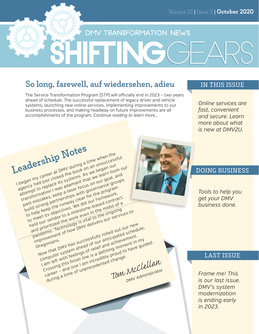## DMV TRANSFORMATION NEWS

## **So long, farewell, auf wiedersehen, adieu**

The Service Transformation Program (STP) will officially end in 2023 – two years ahead of schedule. The successful replacement of legacy driver and vehicle systems, launching new online services, implementing improvements to our business processes, and making headway on future improvements are all accomplishments of the program. *Continue reading to learn more…*

### **IN THIS ISSUE**

*Online services are fast, convenient and secure. Learn more about what is new at DMV2U.*



## **DOING BUSINESS**

*Tools to help you get your DMV business done.*

### **LAST ISSUE**

*Frame me! This is our last issue. DMV's system modernization is ending early in 2023.*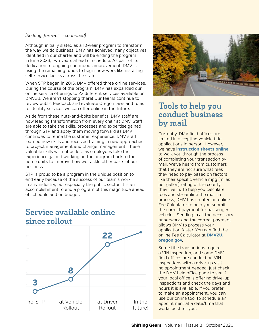### *(So long, farewell...: continued)*

Although initially slated as a 10-year program to transform the way we do business, DMV has achieved many objectives identified in our charter and will be ending the program in June 2023, two years ahead of schedule. As part of its dedication to ongoing continuous improvement, DMV is using the remaining funds to begin new work like installing self-service kiosks across the state.

When STP began in 2015, DMV offered three online services. During the course of the program, DMV has expanded our online service offerings to 22 different services available on DMV2U. We aren't stopping there! Our teams continue to review public feedback and evaluate Oregon laws and rules to identify services we can offer online in the future.

Aside from these nuts-and-bolts benefits, DMV staff are now leading transformation from every chair at DMV. Staff are able to take the skills, processes and expertise gained through STP and apply them moving forward as DMV continues to refine the customer experience. DMV staff learned new skills and received training in new approaches to project management and change management. These valuable skills will not be lost as employees take the experience gained working on the program back to their home units to improve how we tackle other parts of our business.

STP is proud to be a program in the unique position to end early because of the success of our team's work. In any industry, but especially the public sector, it is an accomplishment to end a program of this magnitude ahead of schedule and on budget.

## *30* **3 8 22** at Driver Rollout In the future! at Vehicle Rollout Pre-STP

# **Service available online since rollout**



## **Tools to help you conduct business by mail**

Currently, DMV field offices are limited in accepting vehicle title applications in person. However, we have **[instruction sheets online](https://www.oregon.gov/odot/DMV/pages/vehicle/titlereg.aspx)** to walk you through the process of completing your transaction by mail. We've heard from customers that they are not sure what fees they need to pay based on factors like their specific vehicle mpg (miles per gallon) rating or the county they live in. To help you calculate fees and streamline the mail-in process, DMV has created an online Fee Calculator to help you submit the correct payment for passenger vehicles. Sending in all the necessary paperwork and the correct payment allows DMV to process your application faster. You can find the online Fee Calculator at **[DMV2U.](http://DMV2U.oregon.gov) [oregon.gov](http://DMV2U.oregon.gov)**.

Some title transactions require a VIN inspection, and some DMV field offices are conducting VIN inspections with a drive-up visit – no appointment needed. Just check the DMV field office page to see if your local office is offering drive-up inspections and check the days and hours it is available. If you prefer to make an appointment, you can use our online tool to schedule an appointment at a date/time that works best for you.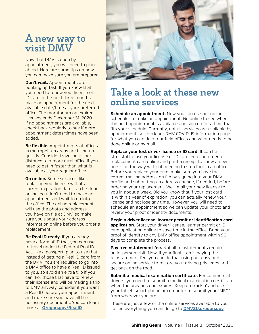# **A new way to visit DMV**

Now that DMV is open by appointment, you will need to plan ahead. Here are some tips on how you can make sure you are prepared:

**Don't wait.** Appointments are booking up fast! If you know that you need to renew your license or ID card in the next three months, make an appointment for the next available date/time at your preferred office. The moratorium on expired licenses ends December 31, 2020. If no appointments are available, check back regularly to see if more appointment dates/times have been added.

**Be flexible.** Appointments at offices in metropolitan areas are filling up quickly. Consider traveling a short distance to a more rural office if you need to get in faster than what is available at your regular office.

**Go online.** Some services, like replacing your license with its current expiration date, can be done online. You don't need to make an appointment and wait to go into the office. The online replacement will use the photo and address you have on file at DMV, so make sure you update your address information online before you order a replacement.

**Be Real ID ready.** If you already have a form of ID that you can use to travel under the Federal Real ID Act, like a passport, plan to use that instead of getting a Real ID card from the DMV. You are required to go into a DMV office to have a Real ID issued to you, so avoid an extra trip if you can. For those that have to renew their license and will be making a trip to DMV anyway, consider if you want a Real ID before your appointment and make sure you have all the necessary documents. You can learn more at **[Oregon.gov/RealID](http://Oregon.gov/RealID)**.



# **Take a look at these new online services**

**Schedule an appointment.** Now you can use our online scheduler to make an appointment. Go online to see when the next appointment is available and sign up for a time that fits your schedule. Currently, not all services are available by appointment, so check our DMV COVID-19 information page for what you can do at our field offices and what needs to be done online or by mail.

**Replace your lost driver license or ID card.** It can be stressful to lose your license or ID card. You can order a replacement card online and print a receipt to show a new one is on the way without needing to step foot in an office. Before you replace your card, make sure you have the correct mailing address on file by signing into your DMV profile and submitting an address change, if needed, before ordering your replacement. We'll mail your new license to you in about a week. Did you know that if your lost card is within a year of expiration, you can actually renew your license and not lose any time. However, you will need to schedule an appointment so we can update your photo and review your proof of identity documents.

**Begin a driver license, learner permit or identification card application.** Start your driver license, learner permit or ID card application online to save time in the office. Bring your proof of identity to any DMV office appointment within 90 days to complete the process.

Pay a reinstatement fee. Not all reinstatements require an in-person visit. Now, if your final step is paying the reinstatement fee, you can do that using our easy and secure online service to restore your driving privileges and get back on the road.

**Submit a medical examination certificate.** For commercial drivers, you need to submit a medical examination certificate when the previous one expires. Keep on truckin' and use your tablet, smart phone or computer to submit your "MEC" from wherever you are.

These are just a few of the online services available to you. To see everything you can do, go to **[DMV2U.oregon.gov](http://DMV2U.oregon.gov)**.